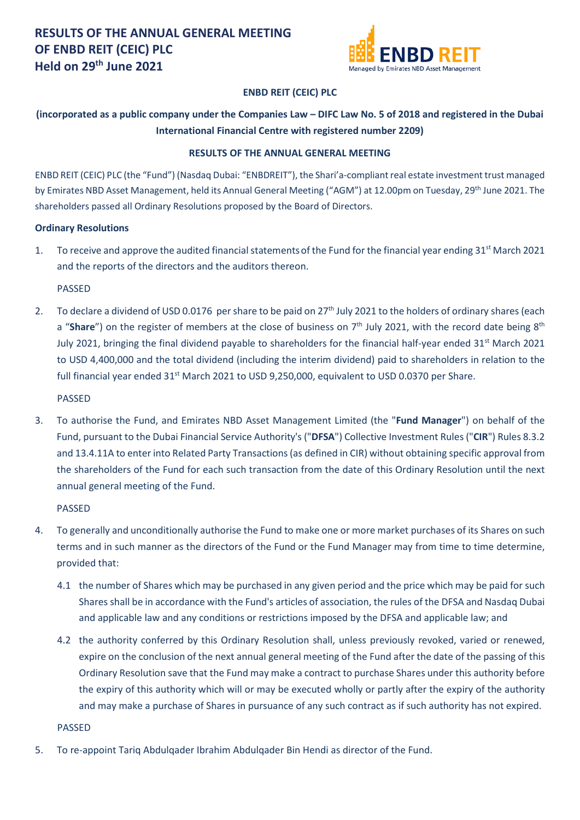

### **ENBD REIT (CEIC) PLC**

## **(incorporated as a public company under the Companies Law – DIFC Law No. 5 of 2018 and registered in the Dubai International Financial Centre with registered number 2209)**

#### **RESULTS OF THE ANNUAL GENERAL MEETING**

ENBD REIT (CEIC) PLC (the "Fund") (Nasdaq Dubai: "ENBDREIT"), the Shari'a-compliant real estate investment trust managed by Emirates NBD Asset Management, held its Annual General Meeting ("AGM") at 12.00pm on Tuesday, 29th June 2021. The shareholders passed all Ordinary Resolutions proposed by the Board of Directors.

#### **Ordinary Resolutions**

1. To receive and approve the audited financial statements of the Fund for the financial year ending 31<sup>st</sup> March 2021 and the reports of the directors and the auditors thereon.

PASSED

2. To declare a dividend of USD 0.0176 per share to be paid on 27<sup>th</sup> July 2021 to the holders of ordinary shares (each a "**Share**") on the register of members at the close of business on 7<sup>th</sup> July 2021, with the record date being 8<sup>th</sup> July 2021, bringing the final dividend payable to shareholders for the financial half-year ended  $31^{st}$  March 2021 to USD 4,400,000 and the total dividend (including the interim dividend) paid to shareholders in relation to the full financial year ended 31<sup>st</sup> March 2021 to USD 9,250,000, equivalent to USD 0.0370 per Share.

PASSED

3. To authorise the Fund, and Emirates NBD Asset Management Limited (the "**Fund Manager**") on behalf of the Fund, pursuant to the Dubai Financial Service Authority's ("**DFSA**") Collective Investment Rules ("**CIR**") Rules 8.3.2 and 13.4.11A to enter into Related Party Transactions (as defined in CIR) without obtaining specific approval from the shareholders of the Fund for each such transaction from the date of this Ordinary Resolution until the next annual general meeting of the Fund.

PASSED

- 4. To generally and unconditionally authorise the Fund to make one or more market purchases of its Shares on such terms and in such manner as the directors of the Fund or the Fund Manager may from time to time determine, provided that:
	- 4.1 the number of Shares which may be purchased in any given period and the price which may be paid for such Shares shall be in accordance with the Fund's articles of association, the rules of the DFSA and Nasdaq Dubai and applicable law and any conditions or restrictions imposed by the DFSA and applicable law; and
	- 4.2 the authority conferred by this Ordinary Resolution shall, unless previously revoked, varied or renewed, expire on the conclusion of the next annual general meeting of the Fund after the date of the passing of this Ordinary Resolution save that the Fund may make a contract to purchase Shares under this authority before the expiry of this authority which will or may be executed wholly or partly after the expiry of the authority and may make a purchase of Shares in pursuance of any such contract as if such authority has not expired.

PASSED

5. To re-appoint Tariq Abdulqader Ibrahim Abdulqader Bin Hendi as director of the Fund.